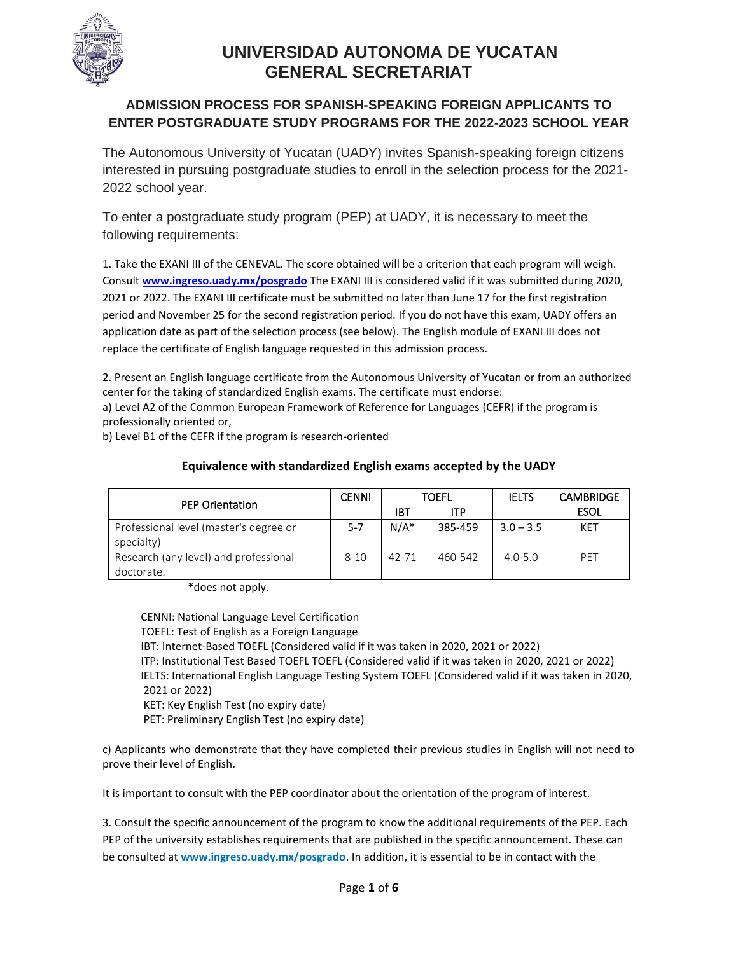

## **ADMISSION PROCESS FOR SPANISH-SPEAKING FOREIGN APPLICANTS TO ENTER POSTGRADUATE STUDY PROGRAMS FOR THE 2022-2023 SCHOOL YEAR**

The Autonomous University of Yucatan (UADY) invites Spanish-speaking foreign citizens interested in pursuing postgraduate studies to enroll in the selection process for the 2021- 2022 school year.

To enter a postgraduate study program (PEP) at UADY, it is necessary to meet the following requirements:

1. Take the EXANI III of the CENEVAL. The score obtained will be a criterion that each program will weigh. Consult **[www.ingreso.uady.mx/posgrado](http://www.ingreso.uady.mx/posgrado)** The EXANI III is considered valid if it was submitted during 2020, 2021 or 2022. The EXANI III certificate must be submitted no later than June 17 for the first registration period and November 25 for the second registration period. If you do not have this exam, UADY offers an application date as part of the selection process (see below). The English module of EXANI III does not replace the certificate of English language requested in this admission process.

2. Present an English language certificate from the Autonomous University of Yucatan or from an authorized center for the taking of standardized English exams. The certificate must endorse:

a) Level A2 of the Common European Framework of Reference for Languages (CEFR) if the program is professionally oriented or,

b) Level B1 of the CEFR if the program is research-oriented

|                                                      | <b>CENNI</b> | TOEFL   |            | <b>IELTS</b> | <b>CAMBRIDGE</b> |
|------------------------------------------------------|--------------|---------|------------|--------------|------------------|
| <b>PEP Orientation</b>                               |              | IBT     | <b>ITP</b> |              | <b>ESOL</b>      |
| Professional level (master's degree or<br>specialty) | $5 - 7$      | $N/A^*$ | 385-459    | $3.0 - 3.5$  | KET              |
| Research (any level) and professional<br>doctorate.  | $8 - 10$     | 42-71   | 460-542    | $4.0 - 5.0$  | PFT              |

## **Equivalence with standardized English exams accepted by the UADY**

**\***does not apply.

 CENNI: National Language Level Certification TOEFL: Test of English as a Foreign Language IBT: Internet-Based TOEFL (Considered valid if it was taken in 2020, 2021 or 2022) ITP: Institutional Test Based TOEFL TOEFL (Considered valid if it was taken in 2020, 2021 or 2022) IELTS: International English Language Testing System TOEFL (Considered valid if it was taken in 2020, 2021 or 2022) KET: Key English Test (no expiry date) PET: Preliminary English Test (no expiry date)

c) Applicants who demonstrate that they have completed their previous studies in English will not need to prove their level of English.

It is important to consult with the PEP coordinator about the orientation of the program of interest.

3. Consult the specific announcement of the program to know the additional requirements of the PEP. Each PEP of the university establishes requirements that are published in the specific announcement. These can be consulted at **www.ingreso.uady.mx/posgrado**. In addition, it is essential to be in contact with the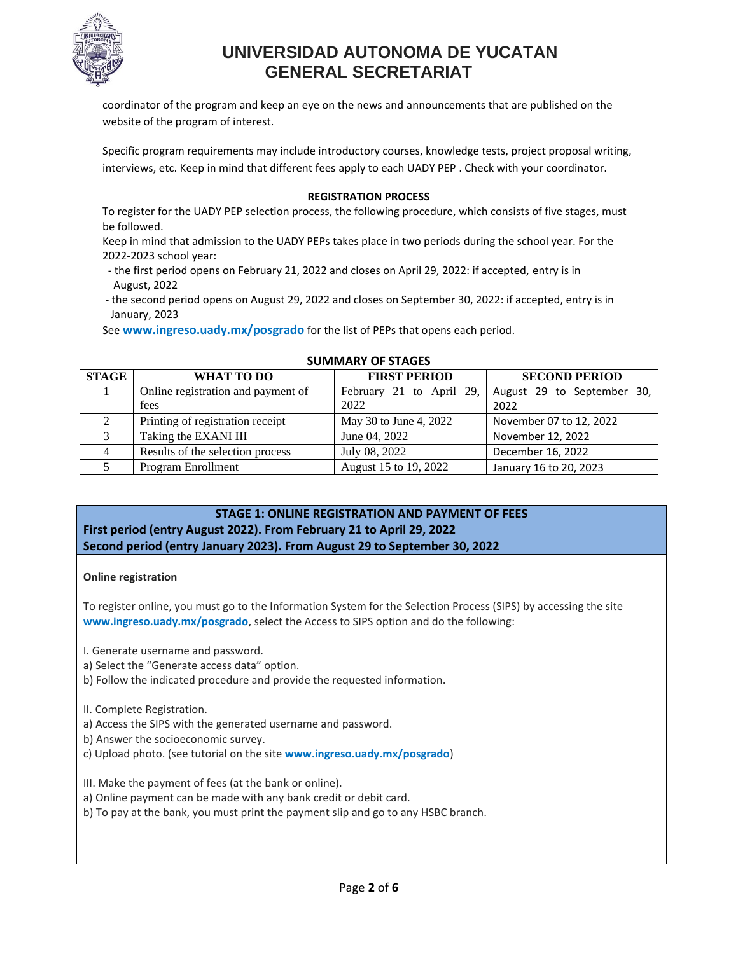

coordinator of the program and keep an eye on the news and announcements that are published on the website of the program of interest.

Specific program requirements may include introductory courses, knowledge tests, project proposal writing, interviews, etc. Keep in mind that different fees apply to each UADY PEP . Check with your coordinator.

### **REGISTRATION PROCESS**

To register for the UADY PEP selection process, the following procedure, which consists of five stages, must be followed.

Keep in mind that admission to the UADY PEPs takes place in two periods during the school year. For the 2022-2023 school year:

- the first period opens on February 21, 2022 and closes on April 29, 2022: if accepted, entry is in August, 2022
- the second period opens on August 29, 2022 and closes on September 30, 2022: if accepted, entry is in January, 2023

See **www.ingreso.uady.mx/posgrado** for the list of PEPs that opens each period.

| <b>STAGE</b> | WHAT TO DO                         | <b>FIRST PERIOD</b>    | <b>SECOND PERIOD</b>                                        |  |  |
|--------------|------------------------------------|------------------------|-------------------------------------------------------------|--|--|
|              | Online registration and payment of |                        | February 21 to April 29, $\vert$ August 29 to September 30, |  |  |
|              | fees                               | 2022                   | 2022                                                        |  |  |
|              | Printing of registration receipt   | May 30 to June 4, 2022 | November 07 to 12, 2022                                     |  |  |
|              | Taking the EXANI III               | June 04, 2022          | November 12, 2022                                           |  |  |
| 4            | Results of the selection process   | July 08, 2022          | December 16, 2022                                           |  |  |
|              | Program Enrollment                 | August 15 to 19, 2022  | January 16 to 20, 2023                                      |  |  |

#### **SUMMARY OF STAGES**

## **STAGE 1: ONLINE REGISTRATION AND PAYMENT OF FEES First period (entry August 2022). From February 21 to April 29, 2022 Second period (entry January 2023). From August 29 to September 30, 2022**

#### **Online registration**

To register online, you must go to the Information System for the Selection Process (SIPS) by accessing the site **www.ingreso.uady.mx/posgrado**, select the Access to SIPS option and do the following:

I. Generate username and password.

- a) Select the "Generate access data" option.
- b) Follow the indicated procedure and provide the requested information.

II. Complete Registration.

- a) Access the SIPS with the generated username and password.
- b) Answer the socioeconomic survey.
- c) Upload photo. (see tutorial on the site **www.ingreso.uady.mx/posgrado**)

III. Make the payment of fees (at the bank or online).

- a) Online payment can be made with any bank credit or debit card.
- b) To pay at the bank, you must print the payment slip and go to any HSBC branch.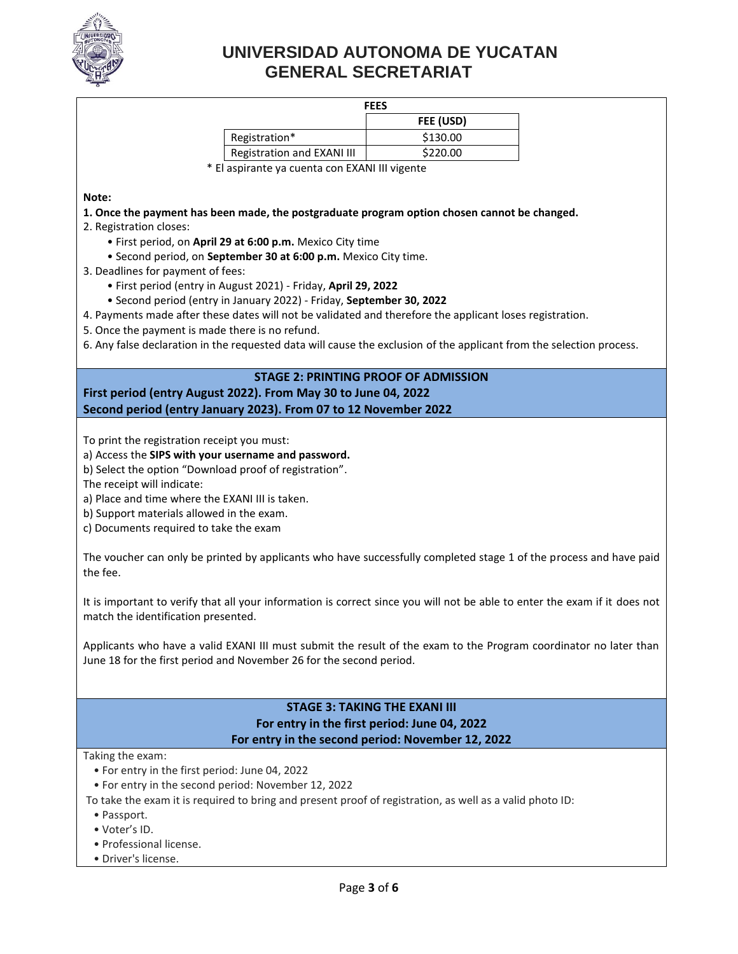

#### **FEES**

| гссэ                              |           |  |
|-----------------------------------|-----------|--|
|                                   | FEE (USD) |  |
| Registration*                     | \$130.00  |  |
| <b>Registration and EXANI III</b> | \$220.00  |  |
|                                   |           |  |

\* El aspirante ya cuenta con EXANI III vigente

#### **Note:**

#### **1. Once the payment has been made, the postgraduate program option chosen cannot be changed.**

- 2. Registration closes:
	- First period, on **April 29 at 6:00 p.m.** Mexico City time
	- Second period, on **September 30 at 6:00 p.m.** Mexico City time.
- 3. Deadlines for payment of fees:
	- First period (entry in August 2021) Friday, **April 29, 2022**
	- Second period (entry in January 2022) Friday, **September 30, 2022**
- 4. Payments made after these dates will not be validated and therefore the applicant loses registration.
- 5. Once the payment is made there is no refund.

6. Any false declaration in the requested data will cause the exclusion of the applicant from the selection process.

## **STAGE 2: PRINTING PROOF OF ADMISSION First period (entry August 2022). From May 30 to June 04, 2022 Second period (entry January 2023). From 07 to 12 November 2022**

To print the registration receipt you must:

- a) Access the **SIPS with your username and password.**
- b) Select the option "Download proof of registration".
- The receipt will indicate:
- a) Place and time where the EXANI III is taken.
- b) Support materials allowed in the exam.
- c) Documents required to take the exam

The voucher can only be printed by applicants who have successfully completed stage 1 of the process and have paid the fee.

It is important to verify that all your information is correct since you will not be able to enter the exam if it does not match the identification presented.

Applicants who have a valid EXANI III must submit the result of the exam to the Program coordinator no later than June 18 for the first period and November 26 for the second period.

### **STAGE 3: TAKING THE EXANI III For entry in the first period: June 04, 2022 For entry in the second period: November 12, 2022**

Taking the exam:

- For entry in the first period: June 04, 2022
- For entry in the second period: November 12, 2022

To take the exam it is required to bring and present proof of registration, as well as a valid photo ID:

- Passport.
- Voter's ID.
- Professional license.
- Driver's license.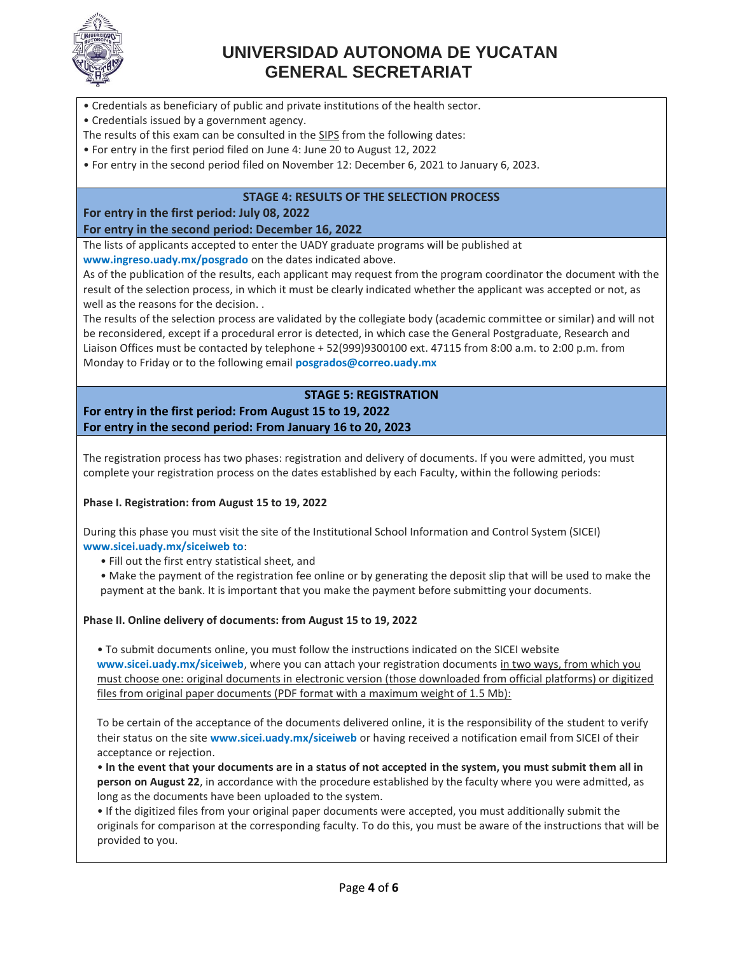

- Credentials as beneficiary of public and private institutions of the health sector.
- Credentials issued by a government agency.
- The results of this exam can be consulted in the SIPS from the following dates:
- For entry in the first period filed on June 4: June 20 to August 12, 2022
- For entry in the second period filed on November 12: December 6, 2021 to January 6, 2023.

### **STAGE 4: RESULTS OF THE SELECTION PROCESS**

**For entry in the first period: July 08, 2022 For entry in the second period: December 16, 2022**

The lists of applicants accepted to enter the UADY graduate programs will be published at **www.ingreso.uady.mx/posgrado** on the dates indicated above.

As of the publication of the results, each applicant may request from the program coordinator the document with the result of the selection process, in which it must be clearly indicated whether the applicant was accepted or not, as well as the reasons for the decision. .

The results of the selection process are validated by the collegiate body (academic committee or similar) and will not be reconsidered, except if a procedural error is detected, in which case the General Postgraduate, Research and Liaison Offices must be contacted by telephone + 52(999)9300100 ext. 47115 from 8:00 a.m. to 2:00 p.m. from Monday to Friday or to the following email **posgrados@correo.uady.mx**

## **STAGE 5: REGISTRATION**

## **For entry in the first period: From August 15 to 19, 2022 For entry in the second period: From January 16 to 20, 2023**

The registration process has two phases: registration and delivery of documents. If you were admitted, you must complete your registration process on the dates established by each Faculty, within the following periods:

#### **Phase I. Registration: from August 15 to 19, 2022**

During this phase you must visit the site of the Institutional School Information and Control System (SICEI) **www.sicei.uady.mx/siceiweb to**:

- Fill out the first entry statistical sheet, and
- Make the payment of the registration fee online or by generating the deposit slip that will be used to make the payment at the bank. It is important that you make the payment before submitting your documents.

#### **Phase II. Online delivery of documents: from August 15 to 19, 2022**

• To submit documents online, you must follow the instructions indicated on the SICEI website **www.sicei.uady.mx/siceiweb**, where you can attach your registration documents in two ways, from which you must choose one: original documents in electronic version (those downloaded from official platforms) or digitized files from original paper documents (PDF format with a maximum weight of 1.5 Mb):

To be certain of the acceptance of the documents delivered online, it is the responsibility of the student to verify their status on the site **www.sicei.uady.mx/siceiweb** or having received a notification email from SICEI of their acceptance or rejection.

• **In the event that your documents are in a status of not accepted in the system, you must submit them all in person on August 22**, in accordance with the procedure established by the faculty where you were admitted, as long as the documents have been uploaded to the system.

• If the digitized files from your original paper documents were accepted, you must additionally submit the originals for comparison at the corresponding faculty. To do this, you must be aware of the instructions that will be provided to you.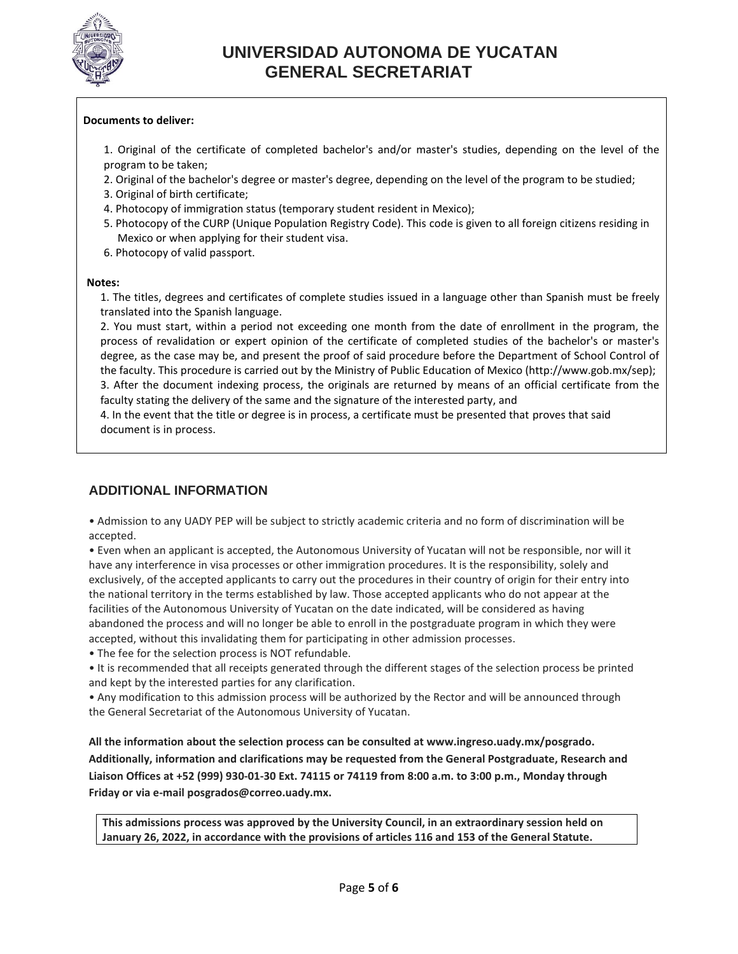

### **Documents to deliver:**

- 1. Original of the certificate of completed bachelor's and/or master's studies, depending on the level of the program to be taken;
- 2. Original of the bachelor's degree or master's degree, depending on the level of the program to be studied;
- 3. Original of birth certificate;
- 4. Photocopy of immigration status (temporary student resident in Mexico);
- 5. Photocopy of the CURP (Unique Population Registry Code). This code is given to all foreign citizens residing in Mexico or when applying for their student visa.
- 6. Photocopy of valid passport.

#### **Notes:**

1. The titles, degrees and certificates of complete studies issued in a language other than Spanish must be freely translated into the Spanish language.

2. You must start, within a period not exceeding one month from the date of enrollment in the program, the process of revalidation or expert opinion of the certificate of completed studies of the bachelor's or master's degree, as the case may be, and present the proof of said procedure before the Department of School Control of the faculty. This procedure is carried out by the Ministry of Public Education of Mexico (http://www.gob.mx/sep);

3. After the document indexing process, the originals are returned by means of an official certificate from the faculty stating the delivery of the same and the signature of the interested party, and

4. In the event that the title or degree is in process, a certificate must be presented that proves that said document is in process.

## **ADDITIONAL INFORMATION**

• Admission to any UADY PEP will be subject to strictly academic criteria and no form of discrimination will be accepted.

• Even when an applicant is accepted, the Autonomous University of Yucatan will not be responsible, nor will it have any interference in visa processes or other immigration procedures. It is the responsibility, solely and exclusively, of the accepted applicants to carry out the procedures in their country of origin for their entry into the national territory in the terms established by law. Those accepted applicants who do not appear at the facilities of the Autonomous University of Yucatan on the date indicated, will be considered as having abandoned the process and will no longer be able to enroll in the postgraduate program in which they were accepted, without this invalidating them for participating in other admission processes.

• The fee for the selection process is NOT refundable.

• It is recommended that all receipts generated through the different stages of the selection process be printed and kept by the interested parties for any clarification.

• Any modification to this admission process will be authorized by the Rector and will be announced through the General Secretariat of the Autonomous University of Yucatan.

**All the information about the selection process can be consulted at www.ingreso.uady.mx/posgrado. Additionally, information and clarifications may be requested from the General Postgraduate, Research and Liaison Offices at +52 (999) 930-01-30 Ext. 74115 or 74119 from 8:00 a.m. to 3:00 p.m., Monday through Friday or via e-mail posgrados@correo.uady.mx.**

**This admissions process was approved by the University Council, in an extraordinary session held on January 26, 2022, in accordance with the provisions of articles 116 and 153 of the General Statute.**